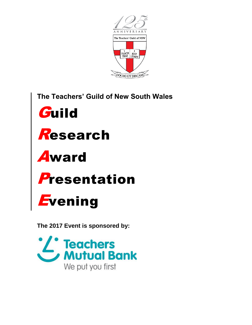

The Teachers' Guild of New South Wales









## Evening

The 2017 Event is sponsored by:

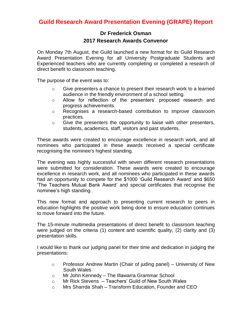## **Guild Research Award Presentation Evening (GRAPE) Report**

## **Dr Frederick Osman 2017 Research Awards Convenor**

On Monday 7th August, the Guild launched a new format for its Guild Research Award Presentation Evening for all University Postgraduate Students and Experienced teachers who are currently completing or completed a research of direct benefit to classroom teaching.

The purpose of the event was to:

- $\circ$  Give presenters a chance to present their research work to a learned audience in the friendly environment of a school setting.
- o Allow for reflection of the presenters' proposed research and progress achievements.
- o Recognises a research-based contribution to improve classroom practices.
- $\circ$  Give the presenters the opportunity to liaise with other presenters, students, academics, staff, visitors and past students.

These awards were created to encourage excellence in research work, and all nominees who participated in these awards received a special certificate recognising the nominee's highest standing.

The evening was highly successful with seven different research presentations were submitted for consideration. These awards were created to encourage excellence in research work, and all nominees who participated in these awards had an opportunity to compete for the \$1000 'Guild Research Award' and \$650 'The Teachers Mutual Bank Award' and special certificates that recognise the nominee's high standing.

This new format and approach to presenting current research to peers in education highlights the positive work being done to ensure education continues to move forward into the future.

The 15-minute multimedia presentations of direct benefit to classroom teaching were judged on the criteria (1) content and scientific quality, (2) clarity and (3) presentation skills.

I would like to thank our judging panel for their time and dedication in judging the presentations:

- o Professor Andrew Martin (Chair of juding panel) University of New South Wales
- o Mr John Kennedy The Illawarra Grammar School
- o Mr Rick Stevens Teachers' Guild of New South Wales
- o Mrs Sharrda Shah Transform Education, Founder and CEO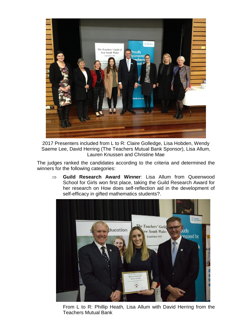

2017 Presenters included from L to R: Claire Golledge, Lisa Hobden, Wendy Saeme Lee, David Herring (The Teachers Mutual Bank Sponsor), Lisa Allum, Lauren Knussen and Christine Mae

The judges ranked the candidates according to the criteria and determined the winners for the following categories:

 **Guild Research Award Winner**: Lisa Allum from Queenwood School for Girls won first place, taking the Guild Research Award for her research on How does self-reflection aid in the development of self-efficacy in gifted mathematics students?.



From L to R: Phillip Heath, Lisa Allum with David Herring from the Teachers Mutual Bank